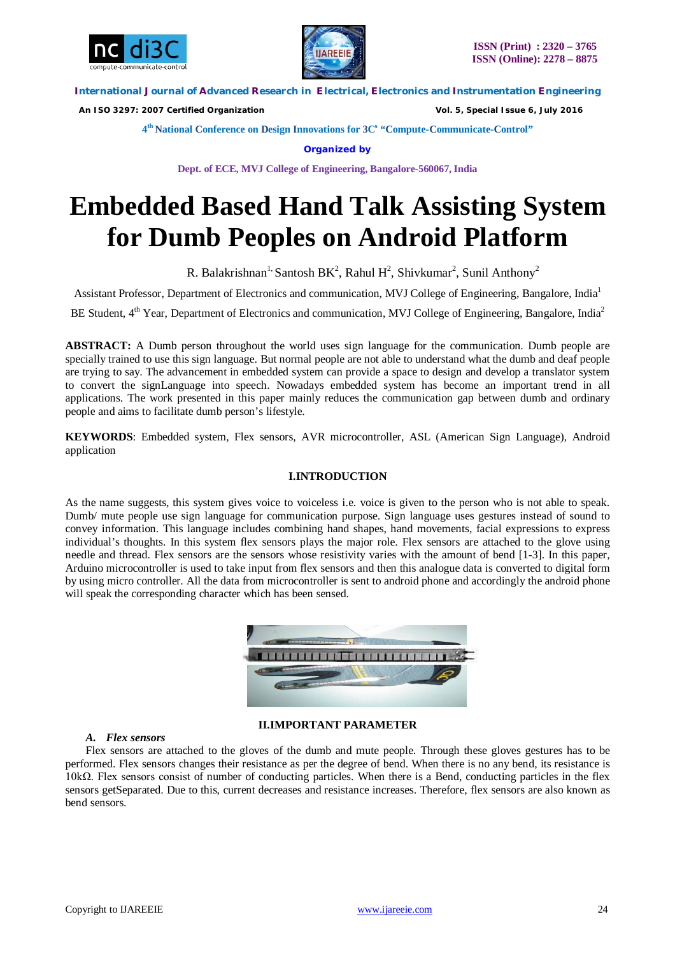



 *An ISO 3297: 2007 Certified Organization Vol. 5, Special Issue 6, July 2016*

**4 th National Conference on Design Innovations for 3C s "Compute-Communicate-Control"** 

**Organized by**

**Dept. of ECE, MVJ College of Engineering, Bangalore-560067, India**

# **Embedded Based Hand Talk Assisting System for Dumb Peoples on Android Platform**

R. Balakrishnan<sup>1,</sup> Santosh BK<sup>2</sup>, Rahul H<sup>2</sup>, Shivkumar<sup>2</sup>, Sunil Anthony<sup>2</sup>

Assistant Professor, Department of Electronics and communication, MVJ College of Engineering, Bangalore, India<sup>1</sup>

BE Student, 4<sup>th</sup> Year, Department of Electronics and communication, MVJ College of Engineering, Bangalore, India<sup>2</sup>

**ABSTRACT:** A Dumb person throughout the world uses sign language for the communication. Dumb people are specially trained to use this sign language. But normal people are not able to understand what the dumb and deaf people are trying to say. The advancement in embedded system can provide a space to design and develop a translator system to convert the signLanguage into speech. Nowadays embedded system has become an important trend in all applications. The work presented in this paper mainly reduces the communication gap between dumb and ordinary people and aims to facilitate dumb person's lifestyle.

**KEYWORDS**: Embedded system, Flex sensors, AVR microcontroller, ASL (American Sign Language), Android application

# **I.INTRODUCTION**

As the name suggests, this system gives voice to voiceless i.e. voice is given to the person who is not able to speak. Dumb/ mute people use sign language for communication purpose. Sign language uses gestures instead of sound to convey information. This language includes combining hand shapes, hand movements, facial expressions to express individual's thoughts. In this system flex sensors plays the major role. Flex sensors are attached to the glove using needle and thread. Flex sensors are the sensors whose resistivity varies with the amount of bend [1-3]. In this paper, Arduino microcontroller is used to take input from flex sensors and then this analogue data is converted to digital form by using micro controller. All the data from microcontroller is sent to android phone and accordingly the android phone will speak the corresponding character which has been sensed.



#### **II.IMPORTANT PARAMETER**

# *A. Flex sensors*

Flex sensors are attached to the gloves of the dumb and mute people. Through these gloves gestures has to be performed. Flex sensors changes their resistance as per the degree of bend. When there is no any bend, its resistance is 10kΩ. Flex sensors consist of number of conducting particles. When there is a Bend, conducting particles in the flex sensors getSeparated. Due to this, current decreases and resistance increases. Therefore, flex sensors are also known as bend sensors.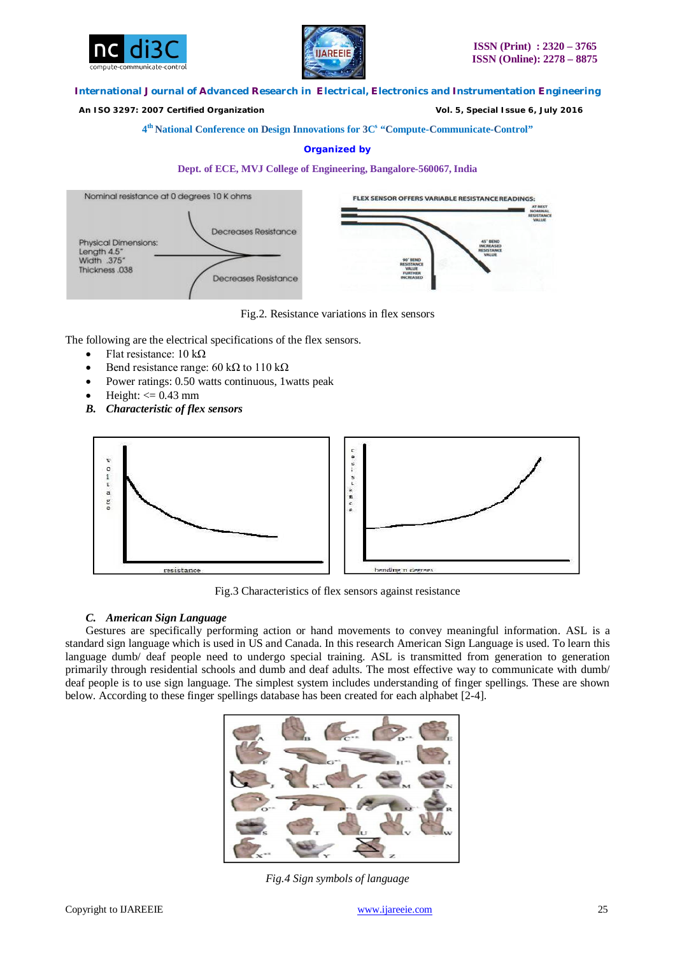



#### *An ISO 3297: 2007 Certified Organization Vol. 5, Special Issue 6, July 2016*

**4 th National Conference on Design Innovations for 3C s "Compute-Communicate-Control"** 

### **Organized by**

#### **Dept. of ECE, MVJ College of Engineering, Bangalore-560067, India**



Fig.2. Resistance variations in flex sensors

The following are the electrical specifications of the flex sensors.

- Flat resistance: 10 kΩ
- Bend resistance range: 60 kΩ to 110 kΩ
- Power ratings: 0.50 watts continuous, 1 watts peak
- Height:  $\leq$  0.43 mm
- *B. Characteristic of flex sensors*



Fig.3 Characteristics of flex sensors against resistance

#### *C. American Sign Language*

Gestures are specifically performing action or hand movements to convey meaningful information. ASL is a standard sign language which is used in US and Canada. In this research American Sign Language is used. To learn this language dumb/ deaf people need to undergo special training. ASL is transmitted from generation to generation primarily through residential schools and dumb and deaf adults. The most effective way to communicate with dumb/ deaf people is to use sign language. The simplest system includes understanding of finger spellings. These are shown below. According to these finger spellings database has been created for each alphabet [2-4].



*Fig.4 Sign symbols of language*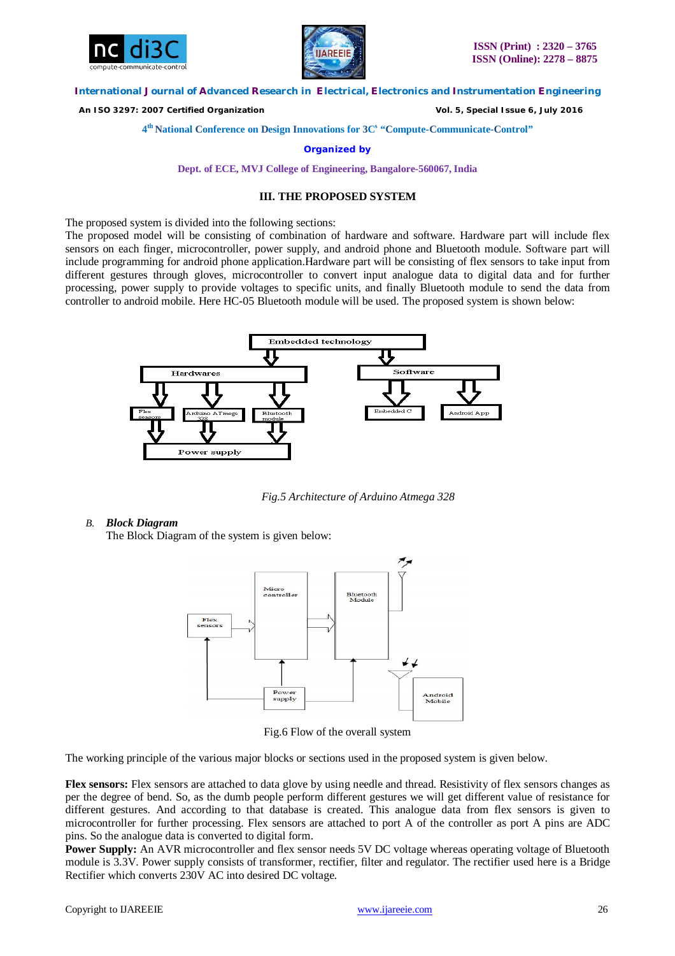



 *An ISO 3297: 2007 Certified Organization Vol. 5, Special Issue 6, July 2016*

**4 th National Conference on Design Innovations for 3C s "Compute-Communicate-Control"** 

**Organized by**

**Dept. of ECE, MVJ College of Engineering, Bangalore-560067, India**

# **III. THE PROPOSED SYSTEM**

The proposed system is divided into the following sections:

The proposed model will be consisting of combination of hardware and software. Hardware part will include flex sensors on each finger, microcontroller, power supply, and android phone and Bluetooth module. Software part will include programming for android phone application.Hardware part will be consisting of flex sensors to take input from different gestures through gloves, microcontroller to convert input analogue data to digital data and for further processing, power supply to provide voltages to specific units, and finally Bluetooth module to send the data from controller to android mobile. Here HC-05 Bluetooth module will be used. The proposed system is shown below:



*Fig.5 Architecture of Arduino Atmega 328*

#### *B. Block Diagram*

The Block Diagram of the system is given below:



Fig.6 Flow of the overall system

The working principle of the various major blocks or sections used in the proposed system is given below.

**Flex sensors:** Flex sensors are attached to data glove by using needle and thread. Resistivity of flex sensors changes as per the degree of bend. So, as the dumb people perform different gestures we will get different value of resistance for different gestures. And according to that database is created. This analogue data from flex sensors is given to microcontroller for further processing. Flex sensors are attached to port A of the controller as port A pins are ADC pins. So the analogue data is converted to digital form.

**Power Supply:** An AVR microcontroller and flex sensor needs 5V DC voltage whereas operating voltage of Bluetooth module is 3.3V. Power supply consists of transformer, rectifier, filter and regulator. The rectifier used here is a Bridge Rectifier which converts 230V AC into desired DC voltage.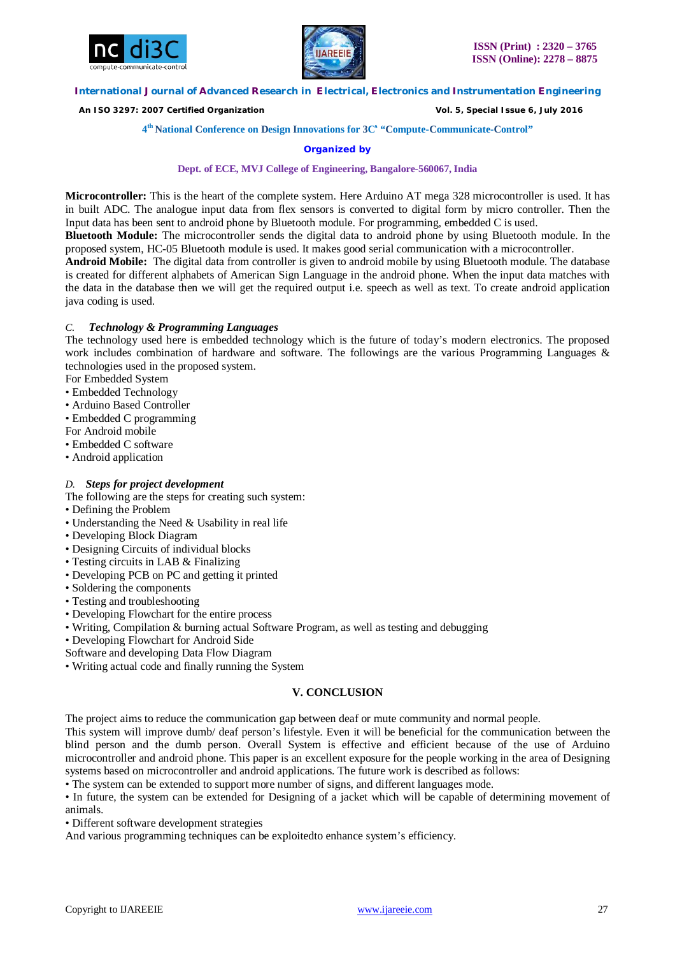



 *An ISO 3297: 2007 Certified Organization Vol. 5, Special Issue 6, July 2016*

## **4 th National Conference on Design Innovations for 3C s "Compute-Communicate-Control"**

## **Organized by**

**Dept. of ECE, MVJ College of Engineering, Bangalore-560067, India**

**Microcontroller:** This is the heart of the complete system. Here Arduino AT mega 328 microcontroller is used. It has in built ADC. The analogue input data from flex sensors is converted to digital form by micro controller. Then the Input data has been sent to android phone by Bluetooth module. For programming, embedded C is used.

**Bluetooth Module:** The microcontroller sends the digital data to android phone by using Bluetooth module. In the proposed system, HC-05 Bluetooth module is used. It makes good serial communication with a microcontroller.

**Android Mobile:** The digital data from controller is given to android mobile by using Bluetooth module. The database is created for different alphabets of American Sign Language in the android phone. When the input data matches with the data in the database then we will get the required output i.e. speech as well as text. To create android application java coding is used.

## *C. Technology & Programming Languages*

The technology used here is embedded technology which is the future of today's modern electronics. The proposed work includes combination of hardware and software. The followings are the various Programming Languages & technologies used in the proposed system.

- For Embedded System
- Embedded Technology
- Arduino Based Controller
- Embedded C programming
- For Android mobile
- Embedded C software
- Android application

# *D. Steps for project development*

- The following are the steps for creating such system:
- Defining the Problem
- Understanding the Need & Usability in real life
- Developing Block Diagram
- Designing Circuits of individual blocks
- Testing circuits in LAB & Finalizing
- Developing PCB on PC and getting it printed
- Soldering the components
- Testing and troubleshooting
- Developing Flowchart for the entire process
- Writing, Compilation & burning actual Software Program, as well as testing and debugging
- Developing Flowchart for Android Side
- Software and developing Data Flow Diagram
- Writing actual code and finally running the System

# **V. CONCLUSION**

The project aims to reduce the communication gap between deaf or mute community and normal people.

This system will improve dumb/ deaf person's lifestyle. Even it will be beneficial for the communication between the blind person and the dumb person. Overall System is effective and efficient because of the use of Arduino microcontroller and android phone. This paper is an excellent exposure for the people working in the area of Designing systems based on microcontroller and android applications. The future work is described as follows:

• The system can be extended to support more number of signs, and different languages mode.

• In future, the system can be extended for Designing of a jacket which will be capable of determining movement of animals.

• Different software development strategies

And various programming techniques can be exploitedto enhance system's efficiency.